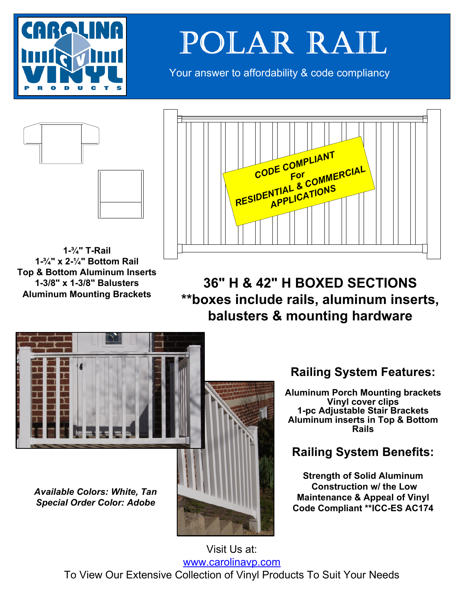

## POLAR RAIL

Your answer to affordability & code compliancy



1-¾" T-Rail 1-¾" x 2-¼" Bottom Rail Top & Bottom Aluminum Inserts 1-3/8" x 1-3/8" Balusters Aluminum Mounting Brackets



36" H & 42" H BOXED SECTIONS \*\*boxes include rails, aluminum inserts, balusters & mounting hardware



Available Colors: White, Tan Special Order Color: Adobe

## Railing System Features:

Aluminum Porch Mounting brackets Vinyl cover clips 1-pc Adjustable Stair Brackets Aluminum inserts in Top & Bottom Rails

## Railing System Benefits:

Strength of Solid Aluminum Construction w/ the Low Maintenance & Appeal of Vinyl Code Compliant \*\*ICC-ES AC174

Visit Us at: www.carolinavp.com To View Our Extensive Collection of Vinyl Products To Suit Your Needs